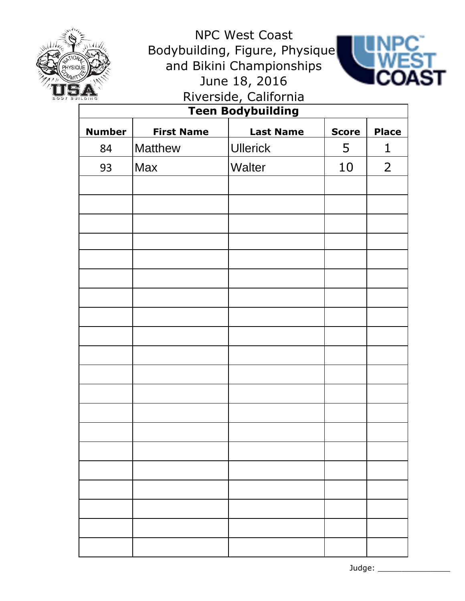



| <b>Teen Bodybuilding</b> |                   |                  |              |                |  |  |
|--------------------------|-------------------|------------------|--------------|----------------|--|--|
| <b>Number</b>            | <b>First Name</b> | <b>Last Name</b> | <b>Score</b> | <b>Place</b>   |  |  |
| 84                       | <b>Matthew</b>    | <b>Ullerick</b>  | 5            | $\mathbf 1$    |  |  |
| 93                       | Max               | Walter           | 10           | $\overline{2}$ |  |  |
|                          |                   |                  |              |                |  |  |
|                          |                   |                  |              |                |  |  |
|                          |                   |                  |              |                |  |  |
|                          |                   |                  |              |                |  |  |
|                          |                   |                  |              |                |  |  |
|                          |                   |                  |              |                |  |  |
|                          |                   |                  |              |                |  |  |
|                          |                   |                  |              |                |  |  |
|                          |                   |                  |              |                |  |  |
|                          |                   |                  |              |                |  |  |
|                          |                   |                  |              |                |  |  |
|                          |                   |                  |              |                |  |  |
|                          |                   |                  |              |                |  |  |
|                          |                   |                  |              |                |  |  |
|                          |                   |                  |              |                |  |  |
|                          |                   |                  |              |                |  |  |
|                          |                   |                  |              |                |  |  |
|                          |                   |                  |              |                |  |  |
|                          |                   |                  |              |                |  |  |
|                          |                   |                  |              |                |  |  |
|                          |                   |                  |              |                |  |  |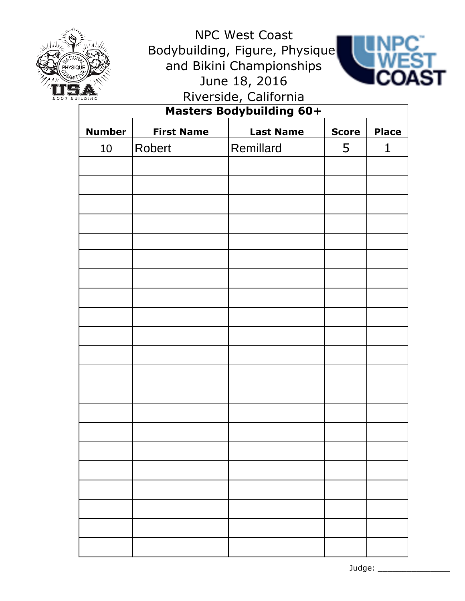

NPC West Coast Bodybuilding, Figure, Physique, and Bikini Championships June 18, 2016 Riverside, California **Masters Bodybuilding 60+**



**Number First Name Last Name Score Place** 10 Robert | Remillard | 5 | 1

0 0

0 0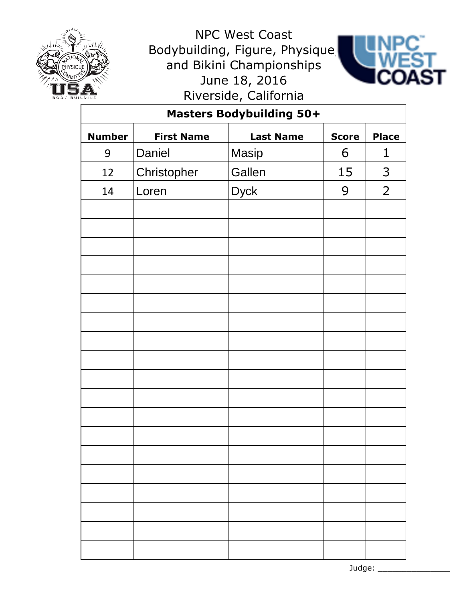



| <b>Masters Bodybuilding 50+</b> |  |  |
|---------------------------------|--|--|

| <b>Number</b> | <b>First Name</b> | <b>Last Name</b> | <b>Score</b> | <b>Place</b>   |
|---------------|-------------------|------------------|--------------|----------------|
| 9             | Daniel            | Masip            | 6            | $\mathbf{1}$   |
| 12            | Christopher       | Gallen           | 15           | $\mathsf{3}$   |
| 14            | Loren             | <b>Dyck</b>      | 9            | $\overline{2}$ |
|               |                   |                  |              |                |
|               |                   |                  |              |                |
|               |                   |                  |              |                |
|               |                   |                  |              |                |
|               |                   |                  |              |                |
|               |                   |                  |              |                |
|               |                   |                  |              |                |
|               |                   |                  |              |                |
|               |                   |                  |              |                |
|               |                   |                  |              |                |
|               |                   |                  |              |                |
|               |                   |                  |              |                |
|               |                   |                  |              |                |
|               |                   |                  |              |                |
|               |                   |                  |              |                |
|               |                   |                  |              |                |
|               |                   |                  |              |                |
|               |                   |                  |              |                |
|               |                   |                  |              |                |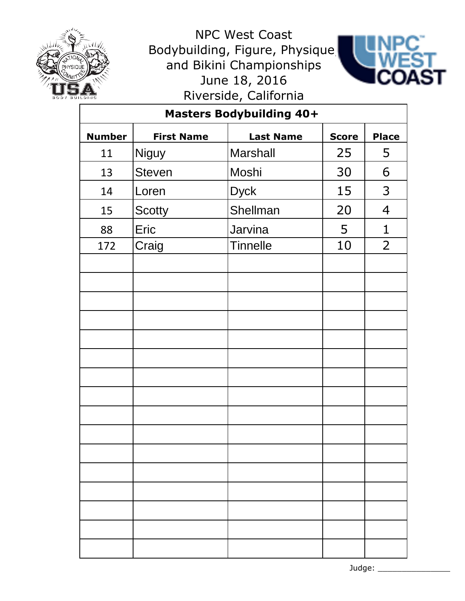



## **Masters Bodybuilding 40+**

| <b>Number</b> | <b>First Name</b> | <b>Last Name</b> | <b>Score</b> | <b>Place</b>   |
|---------------|-------------------|------------------|--------------|----------------|
| 11            | Niguy             | <b>Marshall</b>  | 25           | 5              |
| 13            | <b>Steven</b>     | Moshi            | 30           | 6              |
| 14            | Loren             | <b>Dyck</b>      | 15           | 3              |
| 15            | <b>Scotty</b>     | Shellman         | 20           | $\overline{4}$ |
| 88            | Eric              | <b>Jarvina</b>   | 5            | 1              |
| 172           | Craig             | <b>Tinnelle</b>  | 10           | $\overline{2}$ |
|               |                   |                  |              |                |
|               |                   |                  |              |                |
|               |                   |                  |              |                |
|               |                   |                  |              |                |
|               |                   |                  |              |                |
|               |                   |                  |              |                |
|               |                   |                  |              |                |
|               |                   |                  |              |                |
|               |                   |                  |              |                |
|               |                   |                  |              |                |
|               |                   |                  |              |                |
|               |                   |                  |              |                |
|               |                   |                  |              |                |
|               |                   |                  |              |                |
|               |                   |                  |              |                |
|               |                   |                  |              |                |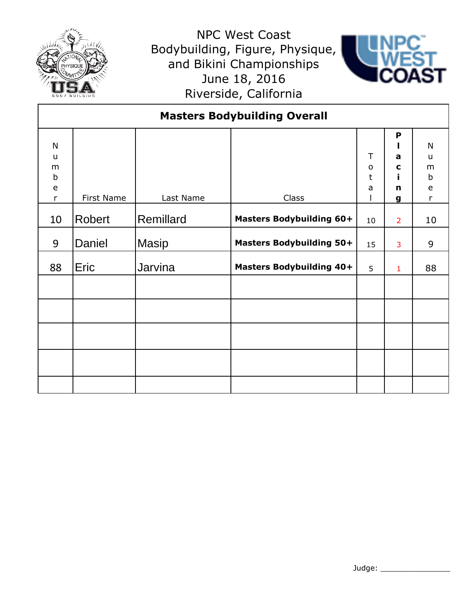



|    | <b>Masters Bodybuilding Overall</b> |              |                                 |              |                |    |  |
|----|-------------------------------------|--------------|---------------------------------|--------------|----------------|----|--|
|    |                                     |              |                                 |              | P              |    |  |
| N  |                                     |              |                                 |              |                | N  |  |
| u  |                                     |              |                                 | Τ            | a              | u  |  |
| m  |                                     |              |                                 | $\mathsf{o}$ | C              | m  |  |
| b  |                                     |              |                                 | t            |                | b  |  |
| e  |                                     |              |                                 | a            | $\mathbf n$    | e  |  |
| r  | First Name                          | Last Name    | Class                           |              | $\mathbf{g}$   | r  |  |
| 10 | Robert                              | Remillard    | <b>Masters Bodybuilding 60+</b> | 10           | $\overline{2}$ | 10 |  |
| 9  | Daniel                              | <b>Masip</b> | <b>Masters Bodybuilding 50+</b> | 15           | 3              | 9  |  |
| 88 | Eric                                | Jarvina      | <b>Masters Bodybuilding 40+</b> | 5            | $\mathbf{1}$   | 88 |  |
|    |                                     |              |                                 |              |                |    |  |
|    |                                     |              |                                 |              |                |    |  |
|    |                                     |              |                                 |              |                |    |  |
|    |                                     |              |                                 |              |                |    |  |
|    |                                     |              |                                 |              |                |    |  |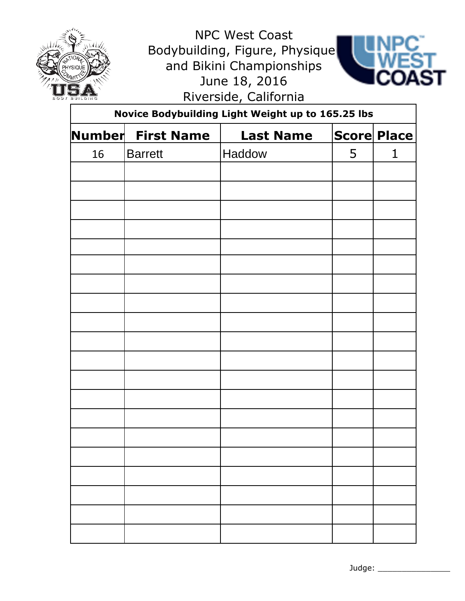

**Novice Bodybuilding Light Weight up to 165.25 lbs**



**Number First Name Last Name Score Place** 16 Barrett Haddow 15 1

Judge: \_\_\_\_\_\_\_\_\_\_\_\_\_\_\_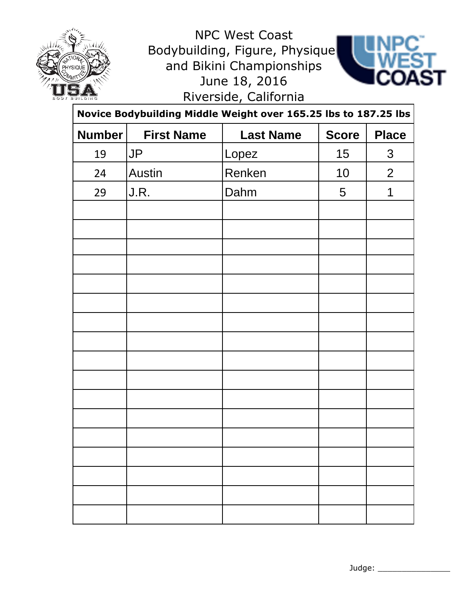



| Novice Bodybuilding Middle Weight over 165.25 lbs to 187.25 lbs |                   |                  |                 |              |  |
|-----------------------------------------------------------------|-------------------|------------------|-----------------|--------------|--|
| <b>Number</b>                                                   | <b>First Name</b> | <b>Last Name</b> | <b>Score</b>    | <b>Place</b> |  |
| 19                                                              | <b>JP</b>         | Lopez            | 15              | 3            |  |
| 24                                                              | <b>Austin</b>     | Renken           | 10              | 2            |  |
| 29                                                              | J.R.              | Dahm             | $5\overline{)}$ | 1            |  |
|                                                                 |                   |                  |                 |              |  |
|                                                                 |                   |                  |                 |              |  |
|                                                                 |                   |                  |                 |              |  |
|                                                                 |                   |                  |                 |              |  |
|                                                                 |                   |                  |                 |              |  |
|                                                                 |                   |                  |                 |              |  |
|                                                                 |                   |                  |                 |              |  |
|                                                                 |                   |                  |                 |              |  |
|                                                                 |                   |                  |                 |              |  |
|                                                                 |                   |                  |                 |              |  |
|                                                                 |                   |                  |                 |              |  |
|                                                                 |                   |                  |                 |              |  |
|                                                                 |                   |                  |                 |              |  |
|                                                                 |                   |                  |                 |              |  |
|                                                                 |                   |                  |                 |              |  |
|                                                                 |                   |                  |                 |              |  |
|                                                                 |                   |                  |                 |              |  |

Judge: \_\_\_\_\_\_\_\_\_\_\_\_\_\_\_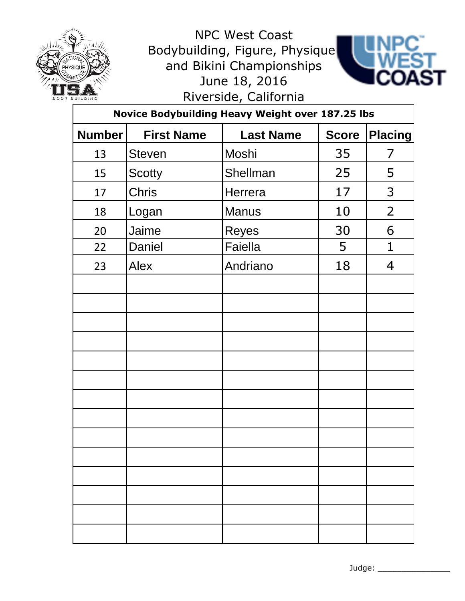



|               | Novice Bodybuilding Heavy Weight over 187.25 lbs |                  |              |                |  |
|---------------|--------------------------------------------------|------------------|--------------|----------------|--|
| <b>Number</b> | <b>First Name</b>                                | <b>Last Name</b> | <b>Score</b> | <b>Placing</b> |  |
| 13            | <b>Steven</b>                                    | Moshi            | 35           | 7              |  |
| 15            | <b>Scotty</b>                                    | Shellman         | 25           | 5              |  |
| 17            | <b>Chris</b>                                     | Herrera          | 17           | 3              |  |
| 18            | Logan                                            | <b>Manus</b>     | 10           | $\overline{2}$ |  |
| 20            | Jaime                                            | <b>Reyes</b>     | 30           | 6              |  |
| 22            | <b>Daniel</b>                                    | Faiella          | 5            | $\mathbf{1}$   |  |
| 23            | Alex                                             | Andriano         | 18           | 4              |  |
|               |                                                  |                  |              |                |  |
|               |                                                  |                  |              |                |  |
|               |                                                  |                  |              |                |  |
|               |                                                  |                  |              |                |  |
|               |                                                  |                  |              |                |  |
|               |                                                  |                  |              |                |  |
|               |                                                  |                  |              |                |  |
|               |                                                  |                  |              |                |  |
|               |                                                  |                  |              |                |  |
|               |                                                  |                  |              |                |  |
|               |                                                  |                  |              |                |  |
|               |                                                  |                  |              |                |  |
|               |                                                  |                  |              |                |  |
|               |                                                  |                  |              |                |  |

Judge:  $\_\_$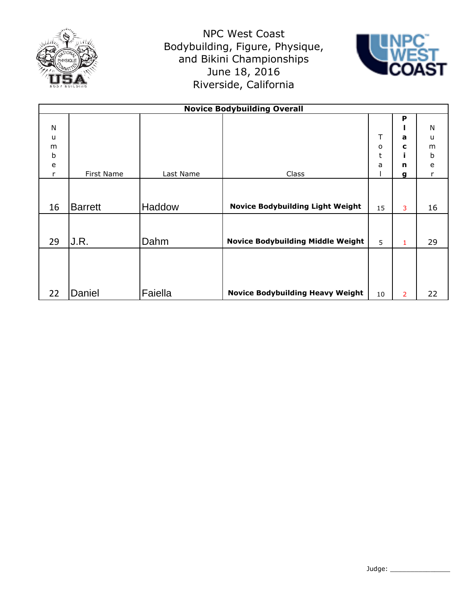



|    |                |               | <b>Novice Bodybuilding Overall</b>       |    |                |    |
|----|----------------|---------------|------------------------------------------|----|----------------|----|
|    |                |               |                                          |    | P              |    |
| N  |                |               |                                          |    |                | N  |
| u  |                |               |                                          | Τ  | a              | u  |
| m  |                |               |                                          | o  | c              | m  |
| b  |                |               |                                          | t  | i.             | b  |
| e  |                |               |                                          | a  | n              | e  |
| r  | First Name     | Last Name     | Class                                    |    | g              | r  |
| 16 | <b>Barrett</b> | <b>Haddow</b> | <b>Novice Bodybuilding Light Weight</b>  | 15 | 3              | 16 |
| 29 | J.R.           | Dahm          | <b>Novice Bodybuilding Middle Weight</b> | 5  | 1              | 29 |
| 22 | Daniel         | Faiella       | <b>Novice Bodybuilding Heavy Weight</b>  | 10 | $\overline{2}$ | 22 |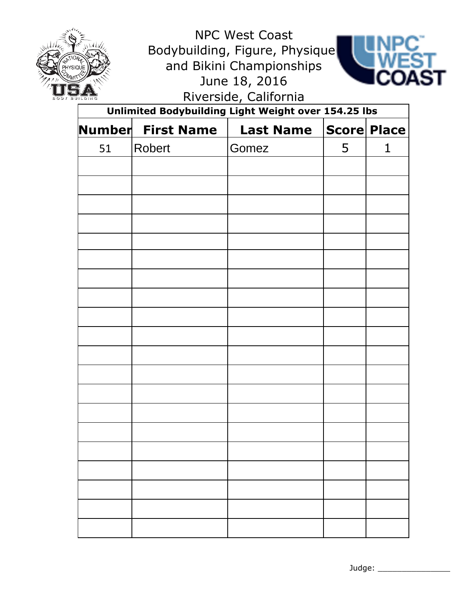



Riverside, California

| Unlimited Bodybuilding Light Weight over 154.25 lbs |                   |                  |   |                    |  |
|-----------------------------------------------------|-------------------|------------------|---|--------------------|--|
| <b>Number</b>                                       | <b>First Name</b> | <b>Last Name</b> |   | <b>Score Place</b> |  |
| 51                                                  | Robert            | Gomez            | 5 | 1                  |  |
|                                                     |                   |                  |   |                    |  |
|                                                     |                   |                  |   |                    |  |
|                                                     |                   |                  |   |                    |  |
|                                                     |                   |                  |   |                    |  |
|                                                     |                   |                  |   |                    |  |
|                                                     |                   |                  |   |                    |  |
|                                                     |                   |                  |   |                    |  |
|                                                     |                   |                  |   |                    |  |
|                                                     |                   |                  |   |                    |  |
|                                                     |                   |                  |   |                    |  |
|                                                     |                   |                  |   |                    |  |
|                                                     |                   |                  |   |                    |  |
|                                                     |                   |                  |   |                    |  |
|                                                     |                   |                  |   |                    |  |
|                                                     |                   |                  |   |                    |  |
|                                                     |                   |                  |   |                    |  |
|                                                     |                   |                  |   |                    |  |
|                                                     |                   |                  |   |                    |  |
|                                                     |                   |                  |   |                    |  |
|                                                     |                   |                  |   |                    |  |
|                                                     |                   |                  |   |                    |  |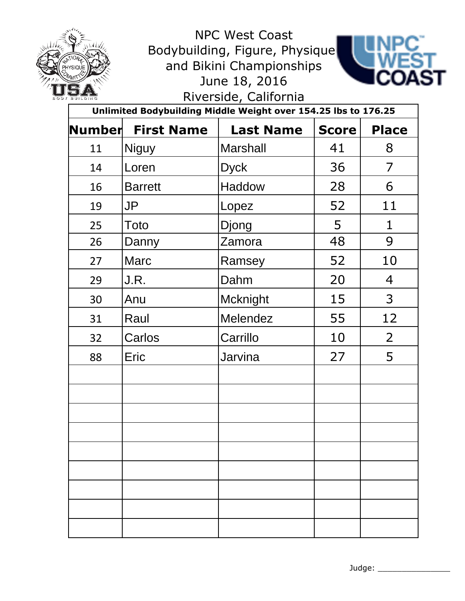



**Unlimited Bodybuilding Middle Weight over 154.25 lbs to 176.25**

| Number | <b>First Name</b> | <b>Last Name</b> | <b>Score</b> | <b>Place</b>   |
|--------|-------------------|------------------|--------------|----------------|
| 11     | <b>Niguy</b>      | <b>Marshall</b>  | 41           | 8              |
| 14     | Loren             | <b>Dyck</b>      | 36           | 7              |
| 16     | <b>Barrett</b>    | Haddow           | 28           | 6              |
| 19     | <b>JP</b>         | Lopez            | 52           | 11             |
| 25     | Toto              | Djong            | 5            | $\mathbf{1}$   |
| 26     | Danny             | Zamora           | 48           | 9              |
| 27     | <b>Marc</b>       | Ramsey           | 52           | 10             |
| 29     | J.R.              | Dahm             | 20           | $\overline{4}$ |
| 30     | Anu               | Mcknight         | 15           | 3              |
| 31     | Raul              | Melendez         | 55           | 12             |
| 32     | Carlos            | Carrillo         | 10           | $\overline{2}$ |
| 88     | Eric              | <b>Jarvina</b>   | 27           | 5              |
|        |                   |                  |              |                |
|        |                   |                  |              |                |
|        |                   |                  |              |                |
|        |                   |                  |              |                |
|        |                   |                  |              |                |
|        |                   |                  |              |                |
|        |                   |                  |              |                |
|        |                   |                  |              |                |
|        |                   |                  |              |                |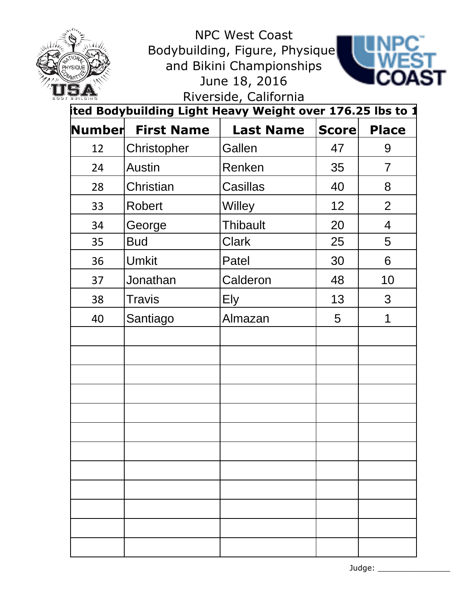



Riverside, California

| Number | <b>First Name</b> | <b>Last Name</b> | <b>Score</b> | <b>Place</b>   |
|--------|-------------------|------------------|--------------|----------------|
| 12     | Christopher       | Gallen           | 47           | 9              |
| 24     | <b>Austin</b>     | Renken           | 35           | $\overline{7}$ |
| 28     | Christian         | Casillas         | 40           | 8              |
| 33     | Robert            | <b>Willey</b>    | 12           | $\overline{2}$ |
| 34     | George            | <b>Thibault</b>  | 20           | $\overline{4}$ |
| 35     | <b>Bud</b>        | <b>Clark</b>     | 25           | 5              |
| 36     | <b>Umkit</b>      | Patel            | 30           | 6              |
| 37     | Jonathan          | Calderon         | 48           | 10             |
| 38     | <b>Travis</b>     | <b>Ely</b>       | 13           | 3              |
| 40     | Santiago          | Almazan          | 5            | 1              |
|        |                   |                  |              |                |
|        |                   |                  |              |                |
|        |                   |                  |              |                |
|        |                   |                  |              |                |
|        |                   |                  |              |                |
|        |                   |                  |              |                |
|        |                   |                  |              |                |
|        |                   |                  |              |                |
|        |                   |                  |              |                |
|        |                   |                  |              |                |
|        |                   |                  |              |                |
|        |                   |                  |              |                |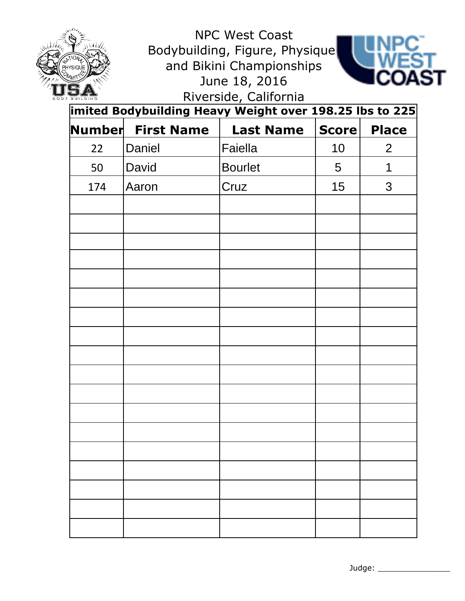



Riverside, California

| <b>Number</b> | <b>First Name</b> | <b>Last Name</b> | Score | <b>Place</b>   |
|---------------|-------------------|------------------|-------|----------------|
| 22            | Daniel            | Faiella          | 10    | $\overline{2}$ |
| 50            | David             | <b>Bourlet</b>   | 5     | 1              |
| 174           | Aaron             | Cruz             | 15    | $\mathbf{3}$   |
|               |                   |                  |       |                |
|               |                   |                  |       |                |
|               |                   |                  |       |                |
|               |                   |                  |       |                |
|               |                   |                  |       |                |
|               |                   |                  |       |                |
|               |                   |                  |       |                |
|               |                   |                  |       |                |
|               |                   |                  |       |                |
|               |                   |                  |       |                |
|               |                   |                  |       |                |
|               |                   |                  |       |                |
|               |                   |                  |       |                |

Judge: \_\_\_\_\_\_\_\_\_\_\_\_\_\_\_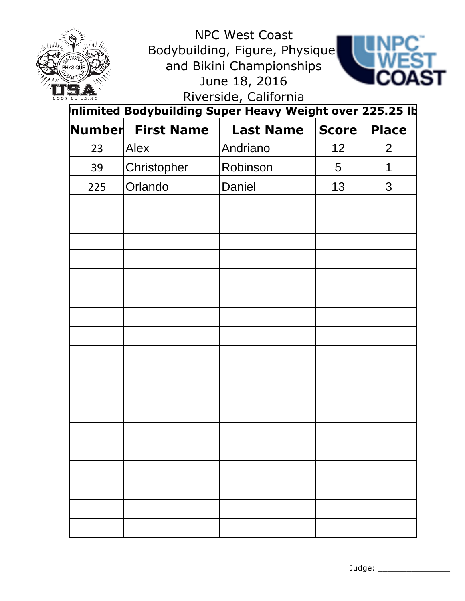



Riverside, California

| nlimited Bodybuilding Super Heavy Weight over 225.25 lb |                   |                  |              |                |  |  |  |  |  |
|---------------------------------------------------------|-------------------|------------------|--------------|----------------|--|--|--|--|--|
| Number                                                  | <b>First Name</b> | <b>Last Name</b> | <b>Score</b> | <b>Place</b>   |  |  |  |  |  |
| 23                                                      | Alex              | Andriano         | 12           | $\overline{2}$ |  |  |  |  |  |
| 39                                                      | Christopher       | Robinson         | 5            | 1              |  |  |  |  |  |
| 225                                                     | Orlando           | Daniel           | 13           | 3              |  |  |  |  |  |
|                                                         |                   |                  |              |                |  |  |  |  |  |
|                                                         |                   |                  |              |                |  |  |  |  |  |
|                                                         |                   |                  |              |                |  |  |  |  |  |
|                                                         |                   |                  |              |                |  |  |  |  |  |
|                                                         |                   |                  |              |                |  |  |  |  |  |
|                                                         |                   |                  |              |                |  |  |  |  |  |
|                                                         |                   |                  |              |                |  |  |  |  |  |
|                                                         |                   |                  |              |                |  |  |  |  |  |
|                                                         |                   |                  |              |                |  |  |  |  |  |
|                                                         |                   |                  |              |                |  |  |  |  |  |
|                                                         |                   |                  |              |                |  |  |  |  |  |
|                                                         |                   |                  |              |                |  |  |  |  |  |
|                                                         |                   |                  |              |                |  |  |  |  |  |
|                                                         |                   |                  |              |                |  |  |  |  |  |
|                                                         |                   |                  |              |                |  |  |  |  |  |
|                                                         |                   |                  |              |                |  |  |  |  |  |